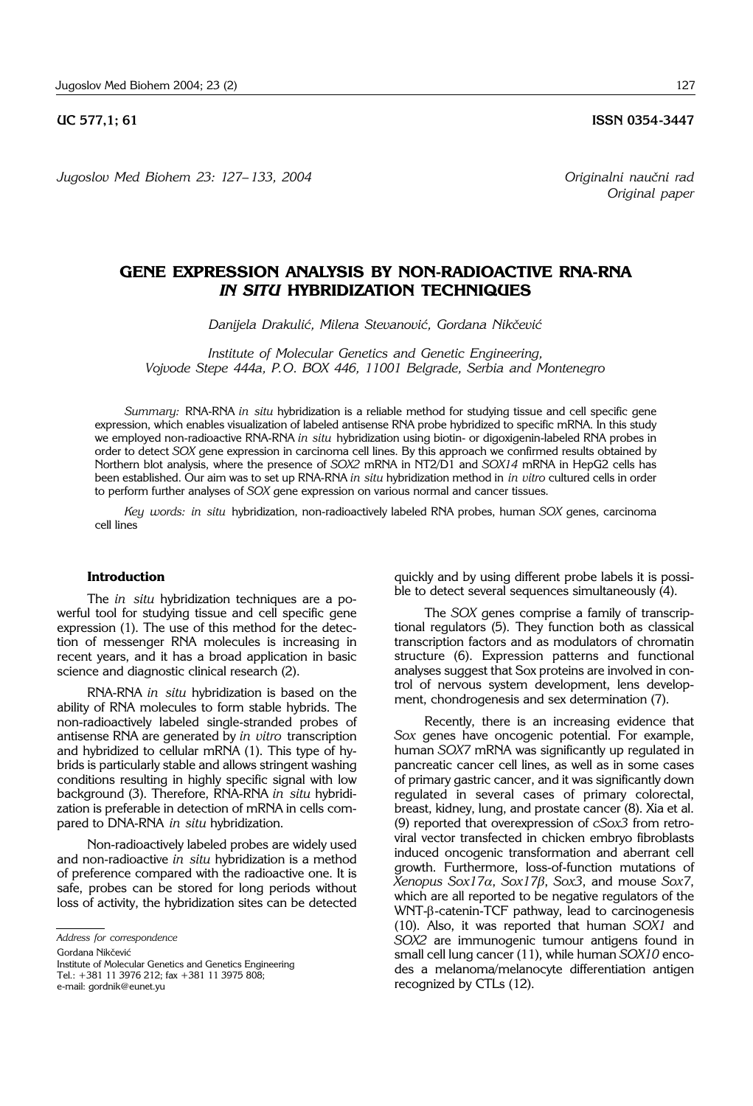**UC 577.1: 61 ISSN 0354-3447** 

*Original paper*

*Jugoslov Med Biohem 23: 127– 133, 2004 Originalni nau~ni rad*

# **GENE EXPRESSION ANALYSIS BY NON-RADIOACTIVE RNA-RNA**  *IN SITU* **HYBRIDIZATION TECHNIQUES**

Danijela Drakulić, Milena Stevanović, Gordana Nikčević

*Institute of Molecular Genetics and Genetic Engineering, Vojvode Stepe 444a, P.O. BOX 446, 11001 Belgrade, Serbia and Montenegro*

*Summary:* RNA-RNA *in situ* hybridization is a reliable method for studying tissue and cell specific gene expression, which enables visualization of labeled antisense RNA probe hybridized to specific mRNA. In this study we employed non-radioactive RNA-RNA *in situ* hybridization using biotin- or digoxigenin-labeled RNA probes in order to detect *SOX* gene expression in carcinoma cell lines. By this approach we confirmed results obtained by Northern blot analysis, where the presence of *SOX2* mRNA in NT2/D1 and *SOX14* mRNA in HepG2 cells has been established. Our aim was to set up RNA-RNA *in situ* hybridization method in *in vitro* cultured cells in order to perform further analyses of *SOX* gene expression on various normal and cancer tissues.

*Key words: in situ* hybridization, non-radioactively labeled RNA probes, human *SOX* genes, carcinoma cell lines

## **Introduction**

The *in situ* hybridization techniques are a powerful tool for studying tissue and cell specific gene expression (1). The use of this method for the detection of messenger RNA molecules is increasing in recent years, and it has a broad application in basic science and diagnostic clinical research (2).

RNA-RNA *in situ* hybridization is based on the ability of RNA molecules to form stable hybrids. The non-radioactively labeled single-stranded probes of antisense RNA are generated by *in vitro* transcription and hybridized to cellular mRNA (1). This type of hybrids is particularly stable and allows stringent washing conditions resulting in highly specific signal with low background (3). Therefore, RNA-RNA *in situ* hybridization is preferable in detection of mRNA in cells compared to DNA-RNA *in situ* hybridization.

Non-radioactively labeled probes are widely used and non-radioactive *in situ* hybridization is a method of preference compared with the radioactive one. It is safe, probes can be stored for long periods without loss of activity, the hybridization sites can be detected

*Address for correspondence*

Gordana Nikčević

Institute of Molecular Genetics and Genetics Engineering

Tel.: +381 11 3976 212; fax +381 11 3975 808;

e-mail: gordnik@eunet.yu

quickly and by using different probe labels it is possible to detect several sequences simultaneously (4).

The *SOX* genes comprise a family of transcriptional regulators (5). They function both as classical transcription factors and as modulators of chromatin structure (6). Expression patterns and functional analyses suggest that Sox proteins are involved in control of nervous system development, lens development, chondrogenesis and sex determination (7).

Recently, there is an increasing evidence that *Sox* genes have oncogenic potential. For example, human *SOX7* mRNA was significantly up regulated in pancreatic cancer cell lines, as well as in some cases of primary gastric cancer, and it was significantly down regulated in several cases of primary colorectal, breast, kidney, lung, and prostate cancer (8). Xia et al. (9) reported that overexpression of *cSox3* from retroviral vector transfected in chicken embryo fibroblasts induced oncogenic transformation and aberrant cell growth. Furthermore, loss-of-function mutations of *Xenopus Sox17*a, *Sox17*b, *Sox3*, and mouse *Sox7*, which are all reported to be negative regulators of the WNT-b-catenin-TCF pathway, lead to carcinogenesis (10). Also, it was reported that human *SOX1* and *SOX2* are immunogenic tumour antigens found in small cell lung cancer (11), while human *SOX10* encodes a melanoma/melanocyte differentiation antigen recognized by CTLs (12).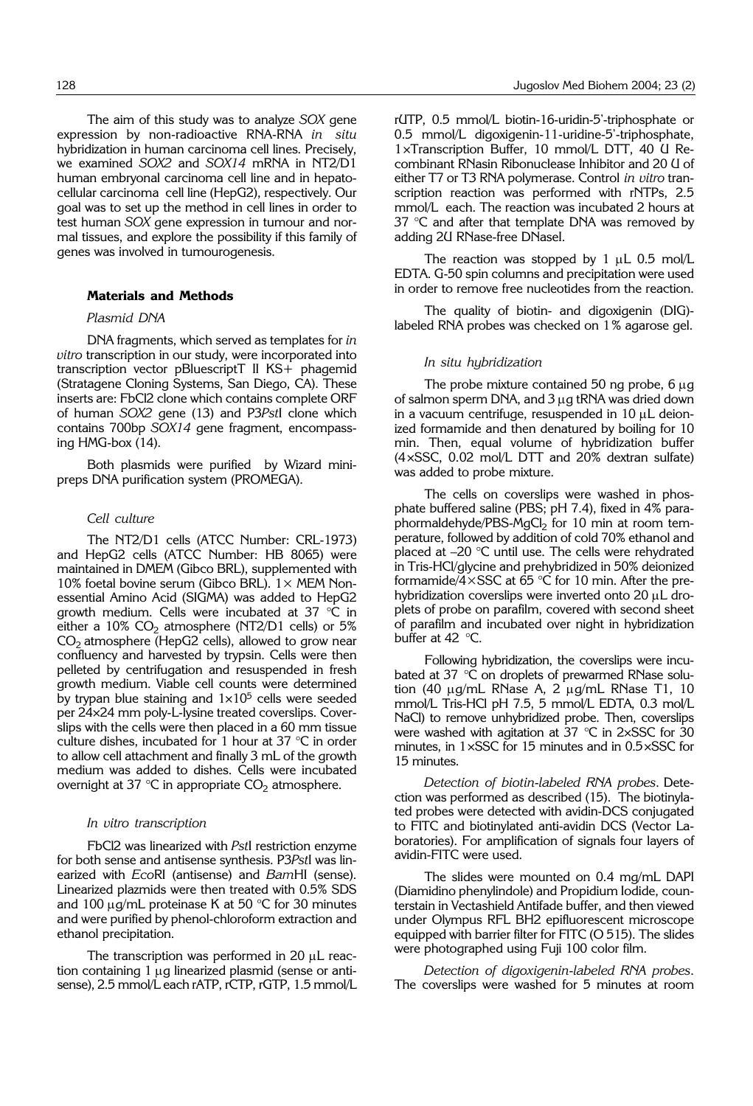The aim of this study was to analyze *SOX* gene expression by non-radioactive RNA-RNA *in situ* hybridization in human carcinoma cell lines. Precisely, we examined *SOX2* and *SOX14* mRNA in NT2/D1 human embryonal carcinoma cell line and in hepatocellular carcinoma cell line (HepG2), respectively. Our goal was to set up the method in cell lines in order to test human *SOX* gene expression in tumour and normal tissues, and explore the possibility if this family of genes was involved in tumourogenesis.

# **Materials and Methods**

### *Plasmid DNA*

DNA fragments, which served as templates for *in vitro* transcription in our study, were incorporated into transcription vector pBluescriptT II KS+ phagemid (Stratagene Cloning Systems, San Diego, CA). These inserts are: FbCl2 clone which contains complete ORF of human *SOX2* gene (13) and P3*Pst*I clone which contains 700bp *SOX14* gene fragment, encompassing HMG-box (14).

Both plasmids were purified by Wizard minipreps DNA purification system (PROMEGA).

#### *Cell culture*

The NT2/D1 cells (ATCC Number: CRL-1973) and HepG2 cells (ATCC Number: HB 8065) were maintained in DMEM (Gibco BRL), supplemented with 10% foetal bovine serum (Gibco BRL).  $1 \times$  MEM Nonessential Amino Acid (SIGMA) was added to HepG2 growth medium. Cells were incubated at 37 °C in either a  $10\%$  CO<sub>2</sub> atmosphere (NT2/D1 cells) or 5%  $CO<sub>2</sub>$  atmosphere (HepG2 cells), allowed to grow near confluency and harvested by trypsin. Cells were then pelleted by centrifugation and resuspended in fresh growth medium. Viable cell counts were determined by trypan blue staining and  $1\times10^5$  cells were seeded per 24×24 mm poly-L-lysine treated coverslips. Coverslips with the cells were then placed in a 60 mm tissue culture dishes, incubated for 1 hour at 37 °C in order to allow cell attachment and finally 3 mL of the growth medium was added to dishes. Cells were incubated overnight at 37 °C in appropriate  $CO<sub>2</sub>$  atmosphere.

#### *In vitro transcription*

FbCl2 was linearized with *Pst*I restriction enzyme for both sense and antisense synthesis. P3*Pst*I was linearized with *Eco*RI (antisense) and *Bam*HI (sense). Linearized plazmids were then treated with 0.5% SDS and 100  $\mu$ g/mL proteinase K at 50 °C for 30 minutes and were purified by phenol-chloroform extraction and ethanol precipitation.

The transcription was performed in 20  $\mu$ L reaction containing  $1 \mu g$  linearized plasmid (sense or antisense), 2.5 mmol/L each rATP, rCTP, rGTP, 1.5 mmol/L rUTP, 0.5 mmol/L biotin-16-uridin-5'-triphosphate or 0.5 mmol/L digoxigenin-11-uridine-5'-triphosphate, 1×Transcription Buffer, 10 mmol/L DTT, 40 U Recombinant RNasin Ribonuclease Inhibitor and 20 U of either T7 or T3 RNA polymerase. Control *in vitro* transcription reaction was performed with rNTPs, 2.5 mmol/L each. The reaction was incubated 2 hours at 37  $\degree$ C and after that template DNA was removed by adding 2U RNase-free DNaseI.

The reaction was stopped by 1  $\mu$ L 0.5 mol/L EDTA. G-50 spin columns and precipitation were used in order to remove free nucleotides from the reaction.

The quality of biotin- and digoxigenin (DIG) labeled RNA probes was checked on 1% agarose gel.

## *In situ hybridization*

The probe mixture contained 50 ng probe,  $6 \mu g$ of salmon sperm DNA, and  $3 \mu$ g tRNA was dried down in a vacuum centrifuge, resuspended in  $10 \mu L$  deionized formamide and then denatured by boiling for 10 min. Then, equal volume of hybridization buffer (4×SSC, 0.02 mol/L DTT and 20% dextran sulfate) was added to probe mixture.

The cells on coverslips were washed in phosphate buffered saline (PBS; pH 7.4), fixed in 4% paraphormaldehyde/PBS-MgCl<sub>2</sub> for 10 min at room temperature, followed by addition of cold 70% ethanol and placed at  $-20$  °C until use. The cells were rehydrated in Tris-HCl/glycine and prehybridized in 50% deionized formamide/ $4\times$ SSC at 65 °C for 10 min. After the prehybridization coverslips were inverted onto 20  $\mu$ L droplets of probe on parafilm, covered with second sheet of parafilm and incubated over night in hybridization buffer at 42 °C.

Following hybridization, the coverslips were incubated at 37 °C on droplets of prewarmed RNase solution (40  $\mu$ g/mL RNase A, 2  $\mu$ g/mL RNase T1, 10 mmol/L Tris-HCl pH 7.5, 5 mmol/L EDTA, 0.3 mol/L NaCl) to remove unhybridized probe. Then, coverslips were washed with agitation at 37  $\degree$ C in 2×SSC for 30 minutes, in 1×SSC for 15 minutes and in 0.5×SSC for 15 minutes.

*Detection of biotin*-*labeled RNA probes*. Detection was performed as described (15). The biotinylated probes were detected with avidin-DCS conjugated to FITC and biotinylated anti-avidin DCS (Vector Laboratories). For amplification of signals four layers of avidin-FITC were used.

The slides were mounted on 0.4 mg/mL DAPI (Diamidino phenylindole) and Propidium Iodide, counterstain in Vectashield Antifade buffer, and then viewed under Olympus RFL BH2 epifluorescent microscope equipped with barrier filter for FITC (O 515). The slides were photographed using Fuji 100 color film.

*Detection of digoxigenin*-*labeled RNA probes*. The coverslips were washed for 5 minutes at room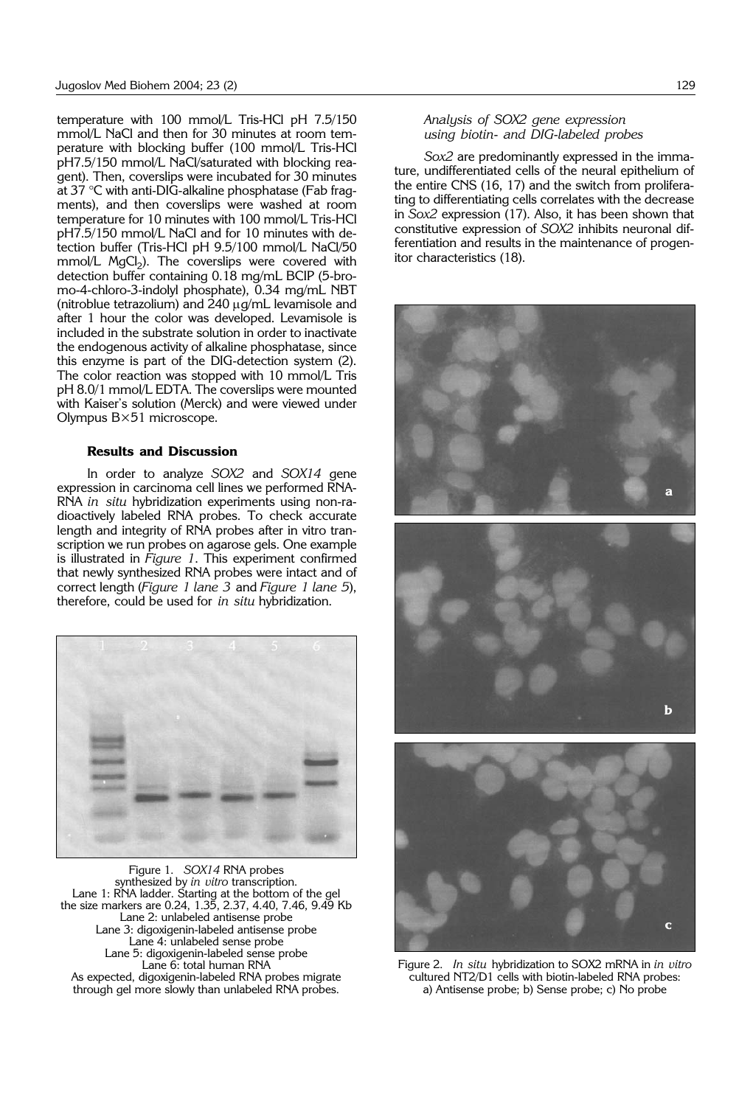temperature with 100 mmol/L Tris-HCl pH 7.5/150 mmol/L NaCl and then for 30 minutes at room temperature with blocking buffer (100 mmol/L Tris-HCl pH7.5/150 mmol/L NaCl/saturated with blocking reagent). Then, coverslips were incubated for 30 minutes at 37 °C with anti-DIG-alkaline phosphatase (Fab fragments), and then coverslips were washed at room temperature for 10 minutes with 100 mmol/L Tris-HCl pH7.5/150 mmol/L NaCl and for 10 minutes with detection buffer (Tris-HCl pH 9.5/100 mmol/L NaCl/50 mmol/L MgCl<sub>2</sub>). The coverslips were covered with detection buffer containing 0.18 mg/mL BCIP (5-bromo-4-chloro-3-indolyl phosphate), 0.34 mg/mL NBT (nitroblue tetrazolium) and  $240 \mu q/mL$  levamisole and after 1 hour the color was developed. Levamisole is included in the substrate solution in order to inactivate the endogenous activity of alkaline phosphatase, since this enzyme is part of the DIG-detection system (2). The color reaction was stopped with 10 mmol/L Tris pH 8.0/1 mmol/L EDTA. The coverslips were mounted with Kaiser's solution (Merck) and were viewed under Olympus B×51 microscope.

#### **Results and Discussion**

In order to analyze *SOX2* and *SOX14* gene expression in carcinoma cell lines we performed RNA-RNA *in situ* hybridization experiments using non-radioactively labeled RNA probes. To check accurate length and integrity of RNA probes after in vitro transcription we run probes on agarose gels. One example is illustrated in *Figure 1*. This experiment confirmed that newly synthesized RNA probes were intact and of correct length (*Figure 1 lane 3* and *Figure 1 lane 5*), therefore, could be used for *in situ* hybridization.



Figure 1. *SOX14* RNA probes synthesized by *in vitro* transcription. Lane 1: RNA ladder. Starting at the bottom of the gel the size markers are 0.24, 1.35, 2.37, 4.40, 7.46, 9.49 Kb Lane 2: unlabeled antisense probe Lane 3: digoxigenin-labeled antisense probe Lane 4: unlabeled sense probe Lane 5: digoxigenin-labeled sense probe Lane 6: total human RNA As expected, digoxigenin-labeled RNA probes migrate through gel more slowly than unlabeled RNA probes.

# *Analysis of SOX2 gene expression using biotin*- *and DIG*-*labeled probes*

*Sox2* are predominantly expressed in the immature, undifferentiated cells of the neural epithelium of the entire CNS (16, 17) and the switch from proliferating to differentiating cells correlates with the decrease in *Sox2* expression (17). Also, it has been shown that constitutive expression of *SOX2* inhibits neuronal differentiation and results in the maintenance of progenitor characteristics (18).



Figure 2. *In situ* hybridization to SOX2 mRNA in *in vitro* cultured NT2/D1 cells with biotin-labeled RNA probes: a) Antisense probe; b) Sense probe; c) No probe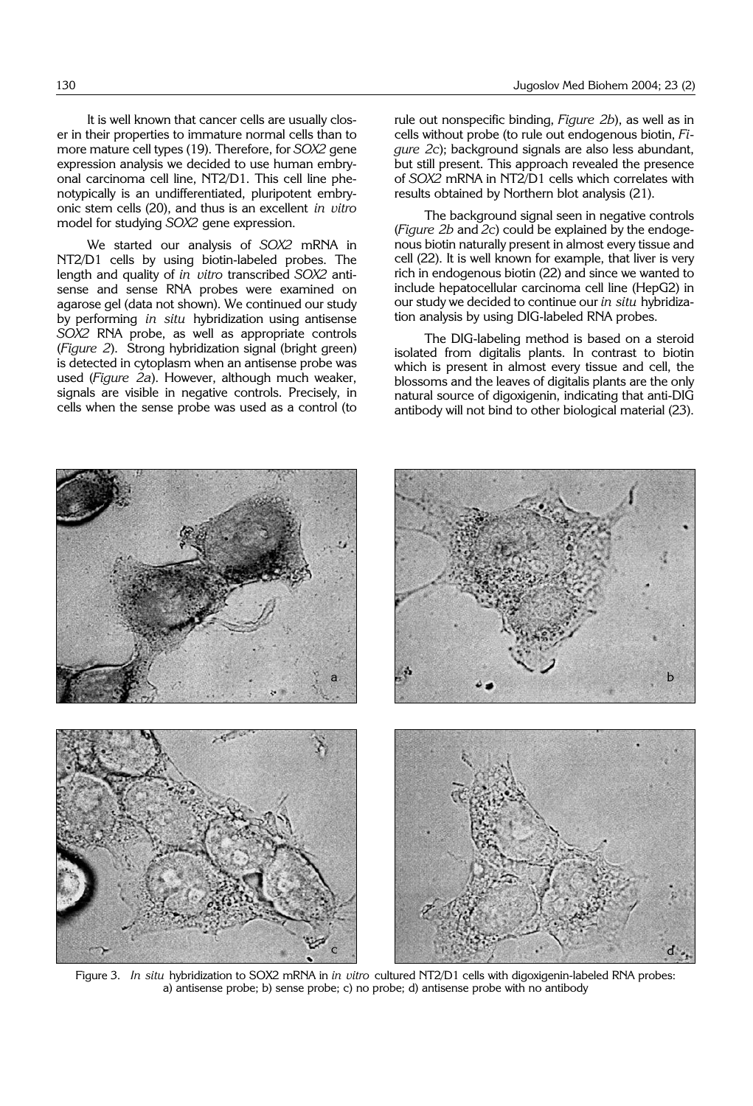It is well known that cancer cells are usually closer in their properties to immature normal cells than to more mature cell types (19). Therefore, for *SOX2* gene expression analysis we decided to use human embryonal carcinoma cell line, NT2/D1. This cell line phenotypically is an undifferentiated, pluripotent embryonic stem cells (20), and thus is an excellent *in vitro* model for studying *SOX2* gene expression.

We started our analysis of *SOX2* mRNA in NT2/D1 cells by using biotin-labeled probes. The length and quality of *in vitro* transcribed *SOX2* antisense and sense RNA probes were examined on agarose gel (data not shown). We continued our study by performing *in situ* hybridization using antisense *SOX2* RNA probe, as well as appropriate controls (*Figure 2*). Strong hybridization signal (bright green) is detected in cytoplasm when an antisense probe was used (*Figure 2a*). However, although much weaker, signals are visible in negative controls. Precisely, in cells when the sense probe was used as a control (to rule out nonspecific binding, *Figure 2b*), as well as in cells without probe (to rule out endogenous biotin, *Figure 2c*); background signals are also less abundant, but still present. This approach revealed the presence of *SOX2* mRNA in NT2/D1 cells which correlates with results obtained by Northern blot analysis (21).

The background signal seen in negative controls (*Figure 2b* and *2c*) could be explained by the endogenous biotin naturally present in almost every tissue and cell (22). It is well known for example, that liver is very rich in endogenous biotin (22) and since we wanted to include hepatocellular carcinoma cell line (HepG2) in our study we decided to continue our *in situ* hybridization analysis by using DIG-labeled RNA probes.

The DIG-labeling method is based on a steroid isolated from digitalis plants. In contrast to biotin which is present in almost every tissue and cell, the blossoms and the leaves of digitalis plants are the only natural source of digoxigenin, indicating that anti-DIG antibody will not bind to other biological material (23).



Figure 3. *In situ* hybridization to SOX2 mRNA in *in vitro* cultured NT2/D1 cells with digoxigenin-labeled RNA probes: a) antisense probe; b) sense probe; c) no probe; d) antisense probe with no antibody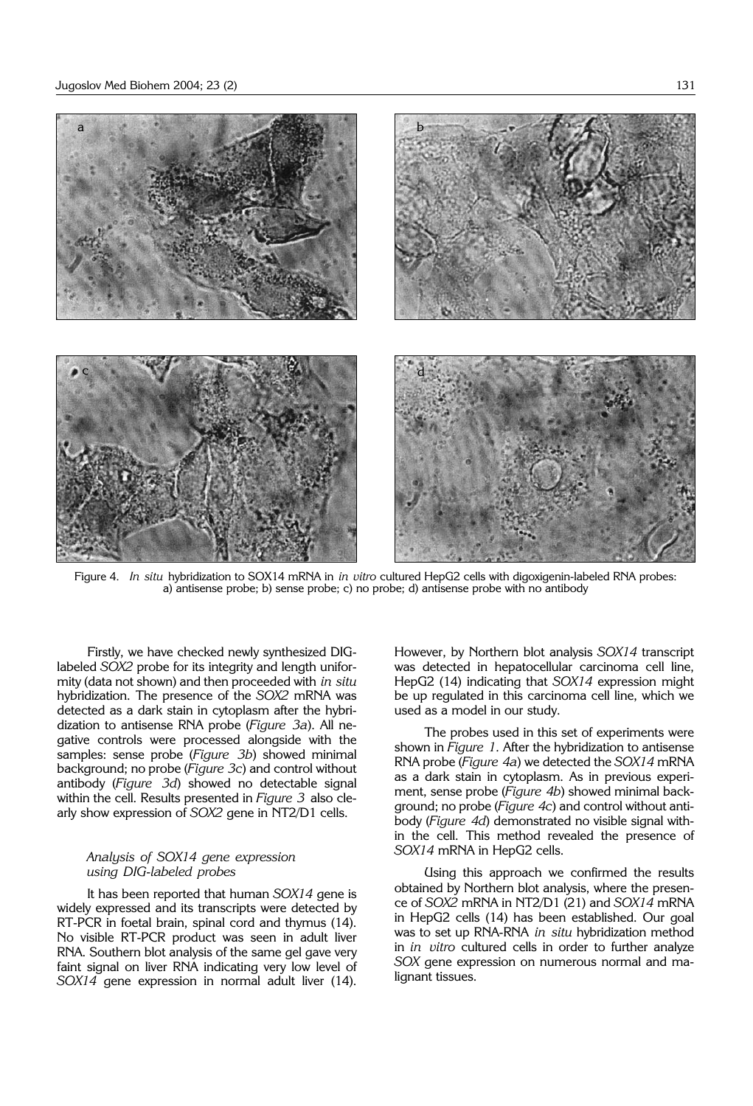

Figure 4. *In situ* hybridization to SOX14 mRNA in *in vitro* cultured HepG2 cells with digoxigenin-labeled RNA probes: a) antisense probe; b) sense probe; c) no probe; d) antisense probe with no antibody

Firstly, we have checked newly synthesized DIGlabeled *SOX2* probe for its integrity and length uniformity (data not shown) and then proceeded with *in situ* hybridization. The presence of the *SOX2* mRNA was detected as a dark stain in cytoplasm after the hybridization to antisense RNA probe (*Figure 3a*). All negative controls were processed alongside with the samples: sense probe (*Figure 3b*) showed minimal background; no probe (*Figure 3c*) and control without antibody (*Figure 3d*) showed no detectable signal within the cell. Results presented in *Figure 3* also clearly show expression of *SOX2* gene in NT2/D1 cells.

# *Analysis of SOX14 gene expression using DIG*-*labeled probes*

It has been reported that human *SOX14* gene is widely expressed and its transcripts were detected by RT-PCR in foetal brain, spinal cord and thymus (14). No visible RT-PCR product was seen in adult liver RNA. Southern blot analysis of the same gel gave very faint signal on liver RNA indicating very low level of *SOX14* gene expression in normal adult liver (14). However, by Northern blot analysis *SOX14* transcript was detected in hepatocellular carcinoma cell line, HepG2 (14) indicating that *SOX14* expression might be up regulated in this carcinoma cell line, which we used as a model in our study.

The probes used in this set of experiments were shown in *Figure 1.* After the hybridization to antisense RNA probe (*Figure 4a*) we detected the *SOX14* mRNA as a dark stain in cytoplasm. As in previous experiment, sense probe (*Figure 4b*) showed minimal background; no probe (*Figure 4c*) and control without antibody (*Figure 4d*) demonstrated no visible signal within the cell. This method revealed the presence of *SOX14* mRNA in HepG2 cells.

Using this approach we confirmed the results obtained by Northern blot analysis, where the presence of *SOX2* mRNA in NT2/D1 (21) and *SOX14* mRNA in HepG2 cells (14) has been established. Our goal was to set up RNA-RNA *in situ* hybridization method in *in vitro* cultured cells in order to further analyze *SOX* gene expression on numerous normal and malignant tissues.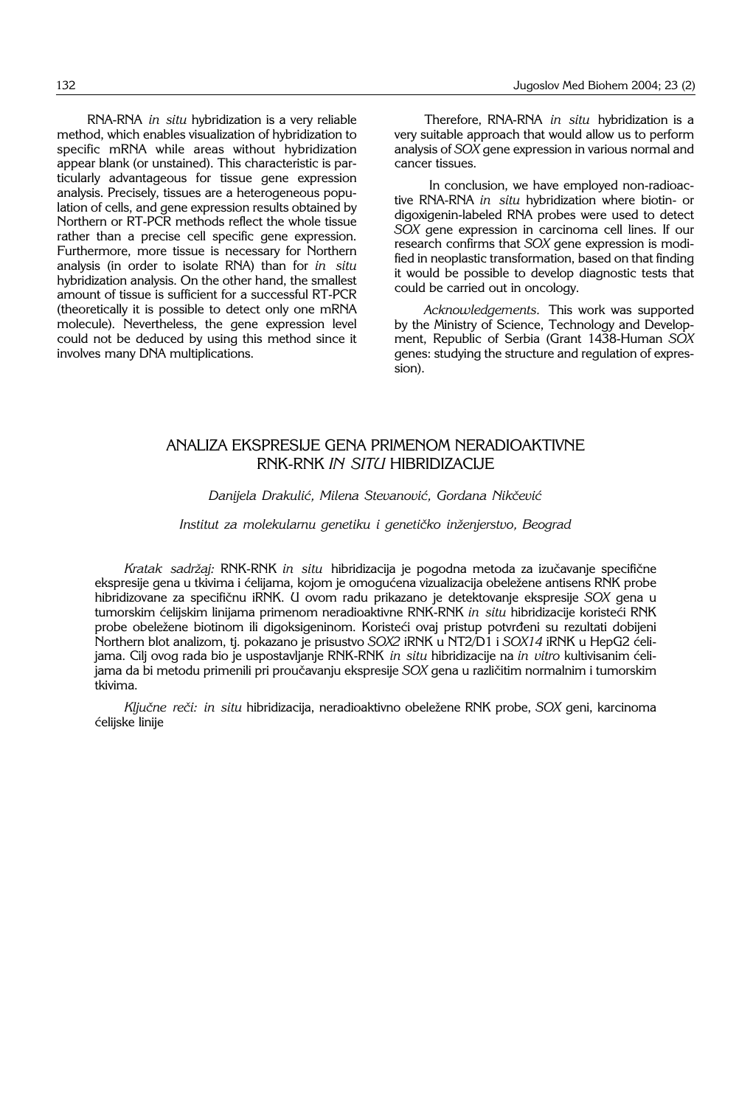RNA-RNA *in situ* hybridization is a very reliable method, which enables visualization of hybridization to specific mRNA while areas without hybridization appear blank (or unstained). This characteristic is particularly advantageous for tissue gene expression analysis. Precisely, tissues are a heterogeneous population of cells, and gene expression results obtained by Northern or RT-PCR methods reflect the whole tissue rather than a precise cell specific gene expression. Furthermore, more tissue is necessary for Northern analysis (in order to isolate RNA) than for *in situ* hybridization analysis. On the other hand, the smallest amount of tissue is sufficient for a successful RT-PCR (theoretically it is possible to detect only one mRNA molecule). Nevertheless, the gene expression level could not be deduced by using this method since it involves many DNA multiplications.

Therefore, RNA-RNA *in situ* hybridization is a very suitable approach that would allow us to perform analysis of *SOX* gene expression in various normal and cancer tissues.

In conclusion, we have employed non-radioactive RNA-RNA *in situ* hybridization where biotin- or digoxigenin-labeled RNA probes were used to detect *SOX* gene expression in carcinoma cell lines. If our research confirms that *SOX* gene expression is modified in neoplastic transformation, based on that finding it would be possible to develop diagnostic tests that could be carried out in oncology.

*Acknowledgements.* This work was supported by the Ministry of Science, Technology and Development, Republic of Serbia (Grant 1438-Human *SOX* genes: studying the structure and regulation of expression).

# ANALIZA EKSPRESIJE GENA PRIMENOM NERADIOAKTIVNE RNK-RNK *IN SITU* HIBRIDIZACIJE

## Danijela Drakulić, Milena Stevanović, Gordana Nikčević

## Institut za molekularnu genetiku i genetičko inženjerstvo, Beograd

Kratak sadržaj: RNK-RNK in situ hibridizacija je pogodna metoda za izučavanje specifične ekspresije gena u tkivima i ćelijama, kojom je omogućena vizualizacija obeležene antisens RNK probe hibridizovane za specifičnu iRNK. U ovom radu prikazano je detektovanje ekspresije *SOX* gena u tumorskim ćelijskim linijama primenom neradioaktivne RNK-RNK *in situ* hibridizacije koristeći RNK probe obeležene biotinom ili digoksigeninom. Koristeći ovaj pristup potvrđeni su rezultati dobijeni Northern blot analizom, tj. pokazano je prisustvo *SOX2* iRNK u NT2/D1 i *SOX14* iRNK u HepG2 }elijama. Cilj ovog rada bio je uspostavljanje RNK-RNK *in situ* hibridizacije na *in vitro* kultivisanim }elijama da bi metodu primenili pri proučavanju ekspresije *SOX* gena u različitim normalnim i tumorskim tkivima.

*Ključne reči: in situ hibridizacija, neradioaktivno obeležene RNK probe, SOX geni, karcinoma* ćelijske linije